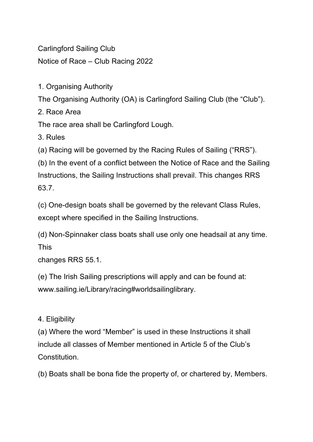Carlingford Sailing Club

Notice of Race – Club Racing 2022

1. Organising Authority

The Organising Authority (OA) is Carlingford Sailing Club (the "Club").

2. Race Area

The race area shall be Carlingford Lough.

3. Rules

(a) Racing will be governed by the Racing Rules of Sailing ("RRS").

(b) In the event of a conflict between the Notice of Race and the Sailing Instructions, the Sailing Instructions shall prevail. This changes RRS 63.7.

(c) One-design boats shall be governed by the relevant Class Rules, except where specified in the Sailing Instructions.

(d) Non-Spinnaker class boats shall use only one headsail at any time. This

changes RRS 55.1.

(e) The Irish Sailing prescriptions will apply and can be found at: www.sailing.ie/Library/racing#worldsailinglibrary.

4. Eligibility

(a) Where the word "Member" is used in these Instructions it shall include all classes of Member mentioned in Article 5 of the Club's Constitution.

(b) Boats shall be bona fide the property of, or chartered by, Members.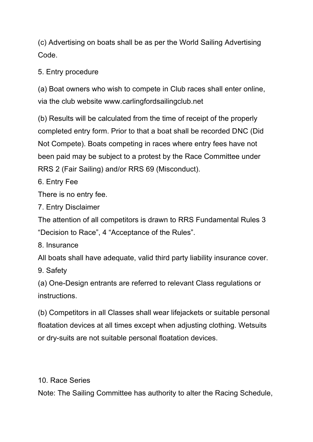(c) Advertising on boats shall be as per the World Sailing Advertising Code.

5. Entry procedure

(a) Boat owners who wish to compete in Club races shall enter online, via the club website www.carlingfordsailingclub.net

(b) Results will be calculated from the time of receipt of the properly completed entry form. Prior to that a boat shall be recorded DNC (Did Not Compete). Boats competing in races where entry fees have not been paid may be subject to a protest by the Race Committee under RRS 2 (Fair Sailing) and/or RRS 69 (Misconduct).

6. Entry Fee

There is no entry fee.

7. Entry Disclaimer

The attention of all competitors is drawn to RRS Fundamental Rules 3 "Decision to Race", 4 "Acceptance of the Rules".

8. Insurance

All boats shall have adequate, valid third party liability insurance cover.

9. Safety

(a) One-Design entrants are referred to relevant Class regulations or instructions.

(b) Competitors in all Classes shall wear lifejackets or suitable personal floatation devices at all times except when adjusting clothing. Wetsuits or dry-suits are not suitable personal floatation devices.

10. Race Series

Note: The Sailing Committee has authority to alter the Racing Schedule,